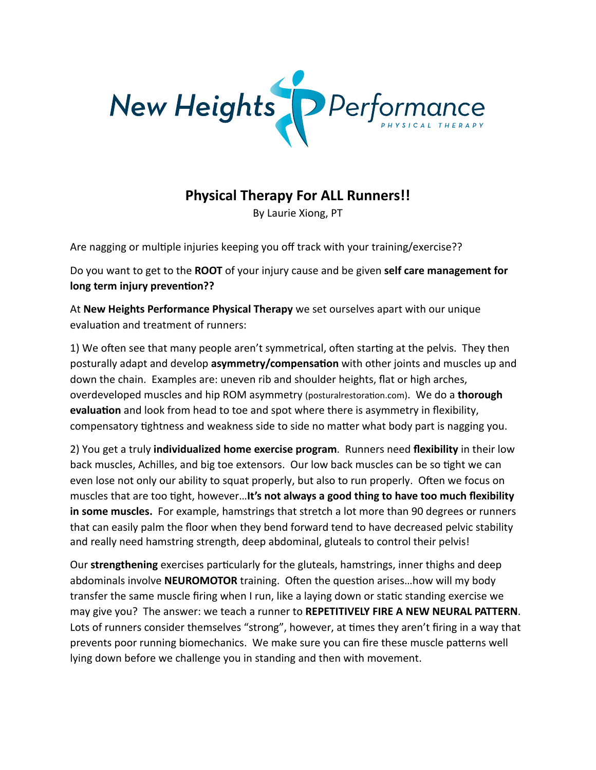

## **Physical Therapy For ALL Runners!!**

By Laurie Xiong, PT

Are nagging or multiple injuries keeping you off track with your training/exercise??

Do you want to get to the **ROOT** of your injury cause and be given self care management for long term injury prevention??

At **New Heights Performance Physical Therapy** we set ourselves apart with our unique evaluation and treatment of runners:

1) We often see that many people aren't symmetrical, often starting at the pelvis. They then posturally adapt and develop **asymmetry/compensation** with other joints and muscles up and down the chain. Examples are: uneven rib and shoulder heights, flat or high arches, overdeveloped muscles and hip ROM asymmetry (posturalrestoration.com). We do a **thorough evaluation** and look from head to toe and spot where there is asymmetry in flexibility, compensatory tightness and weakness side to side no matter what body part is nagging you.

2) You get a truly *individualized home exercise program*. Runners need flexibility in their low back muscles, Achilles, and big toe extensors. Our low back muscles can be so tight we can even lose not only our ability to squat properly, but also to run properly. Often we focus on muscles that are too tight, however... It's not always a good thing to have too much flexibility in some muscles. For example, hamstrings that stretch a lot more than 90 degrees or runners that can easily palm the floor when they bend forward tend to have decreased pelvic stability and really need hamstring strength, deep abdominal, gluteals to control their pelvis!

Our **strengthening** exercises particularly for the gluteals, hamstrings, inner thighs and deep abdominals involve **NEUROMOTOR** training. Often the question arises...how will my body transfer the same muscle firing when I run, like a laying down or static standing exercise we may give you? The answer: we teach a runner to REPETITIVELY FIRE A NEW NEURAL PATTERN. Lots of runners consider themselves "strong", however, at times they aren't firing in a way that prevents poor running biomechanics. We make sure you can fire these muscle patterns well lying down before we challenge you in standing and then with movement.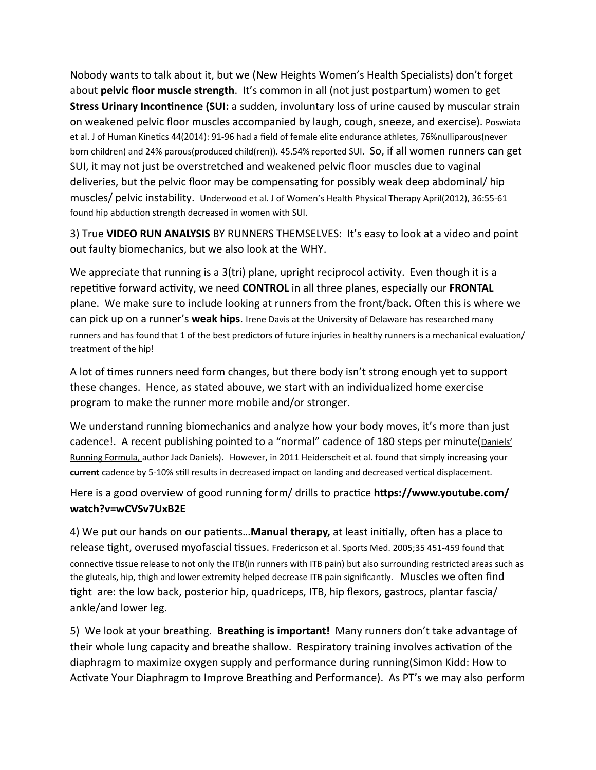Nobody wants to talk about it, but we (New Heights Women's Health Specialists) don't forget about pelvic floor muscle strength. It's common in all (not just postpartum) women to get Stress Urinary Incontinence (SUI: a sudden, involuntary loss of urine caused by muscular strain on weakened pelvic floor muscles accompanied by laugh, cough, sneeze, and exercise). Poswiata et al. J of Human Kinetics 44(2014): 91-96 had a field of female elite endurance athletes, 76%nulliparous(never born children) and 24% parous(produced child(ren)). 45.54% reported SUI. So, if all women runners can get SUI, it may not just be overstretched and weakened pelvic floor muscles due to vaginal deliveries, but the pelvic floor may be compensating for possibly weak deep abdominal/hip muscles/ pelvic instability. Underwood et al. J of Women's Health Physical Therapy April(2012), 36:55-61 found hip abduction strength decreased in women with SUI.

3) True VIDEO RUN ANALYSIS BY RUNNERS THEMSELVES: It's easy to look at a video and point out faulty biomechanics, but we also look at the WHY.

We appreciate that running is a 3(tri) plane, upright reciprocol activity. Even though it is a repetitive forward activity, we need CONTROL in all three planes, especially our FRONTAL plane. We make sure to include looking at runners from the front/back. Often this is where we can pick up on a runner's weak hips. Irene Davis at the University of Delaware has researched many runners and has found that 1 of the best predictors of future injuries in healthy runners is a mechanical evaluation/ treatment of the hip!

A lot of times runners need form changes, but there body isn't strong enough yet to support these changes. Hence, as stated abouve, we start with an individualized home exercise program to make the runner more mobile and/or stronger.

We understand running biomechanics and analyze how your body moves, it's more than just cadence! A recent publishing pointed to a "normal" cadence of 180 steps per minute (Daniels' Running Formula, author Jack Daniels). However, in 2011 Heiderscheit et al. found that simply increasing your current cadence by 5-10% still results in decreased impact on landing and decreased vertical displacement.

Here is a good overview of good running form/ drills to practice **https://www.youtube.com/** watch?v=wCVSv7UxB2E

4) We put our hands on our patients...**Manual therapy,** at least initially, often has a place to release tight, overused myofascial tissues. Fredericson et al. Sports Med. 2005;35 451-459 found that connective tissue release to not only the ITB(in runners with ITB pain) but also surrounding restricted areas such as the gluteals, hip, thigh and lower extremity helped decrease ITB pain significantly. Muscles we often find tight are: the low back, posterior hip, quadriceps, ITB, hip flexors, gastrocs, plantar fascia/ ankle/and lower leg.

5) We look at your breathing. Breathing is important! Many runners don't take advantage of their whole lung capacity and breathe shallow. Respiratory training involves activation of the diaphragm to maximize oxygen supply and performance during running(Simon Kidd: How to Activate Your Diaphragm to Improve Breathing and Performance). As PT's we may also perform